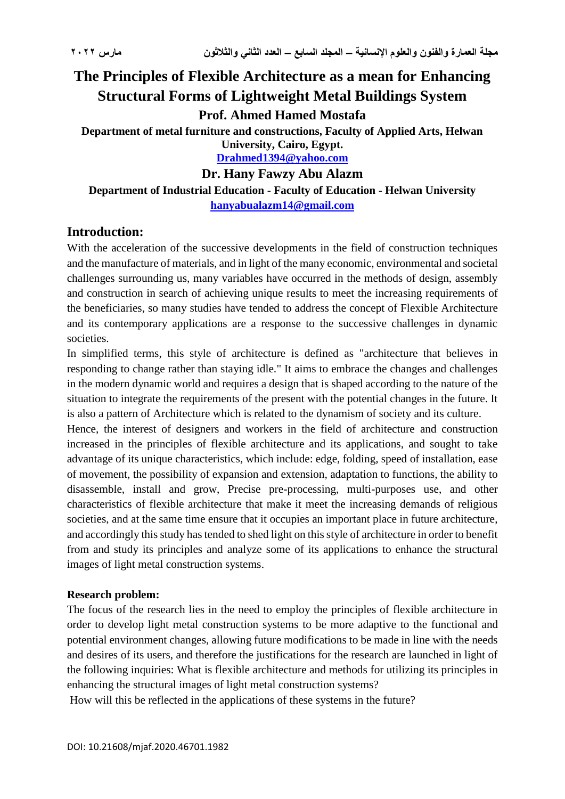# **The Principles of Flexible Architecture as a mean for Enhancing Structural Forms of Lightweight Metal Buildings System Prof. Ahmed Hamed Mostafa Department of metal furniture and constructions, Faculty of Applied Arts, Helwan University, Cairo, Egypt. [Drahmed1394@yahoo.com](mailto:Drahmed1394@yahoo.com)**

**Dr. Hany Fawzy Abu Alazm**

**Department of Industrial Education - Faculty of Education - Helwan University [hanyabualazm14@gmail.com](mailto:hanyabualazm14@gmail.com)**

#### **Introduction:**

With the acceleration of the successive developments in the field of construction techniques and the manufacture of materials, and in light of the many economic, environmental and societal challenges surrounding us, many variables have occurred in the methods of design, assembly and construction in search of achieving unique results to meet the increasing requirements of the beneficiaries, so many studies have tended to address the concept of Flexible Architecture and its contemporary applications are a response to the successive challenges in dynamic societies.

In simplified terms, this style of architecture is defined as "architecture that believes in responding to change rather than staying idle." It aims to embrace the changes and challenges in the modern dynamic world and requires a design that is shaped according to the nature of the situation to integrate the requirements of the present with the potential changes in the future. It is also a pattern of Architecture which is related to the dynamism of society and its culture.

Hence, the interest of designers and workers in the field of architecture and construction increased in the principles of flexible architecture and its applications, and sought to take advantage of its unique characteristics, which include: edge, folding, speed of installation, ease of movement, the possibility of expansion and extension, adaptation to functions, the ability to disassemble, install and grow, Precise pre-processing, multi-purposes use, and other characteristics of flexible architecture that make it meet the increasing demands of religious societies, and at the same time ensure that it occupies an important place in future architecture, and accordingly this study has tended to shed light on this style of architecture in order to benefit from and study its principles and analyze some of its applications to enhance the structural images of light metal construction systems.

#### **Research problem:**

The focus of the research lies in the need to employ the principles of flexible architecture in order to develop light metal construction systems to be more adaptive to the functional and potential environment changes, allowing future modifications to be made in line with the needs and desires of its users, and therefore the justifications for the research are launched in light of the following inquiries: What is flexible architecture and methods for utilizing its principles in enhancing the structural images of light metal construction systems?

How will this be reflected in the applications of these systems in the future?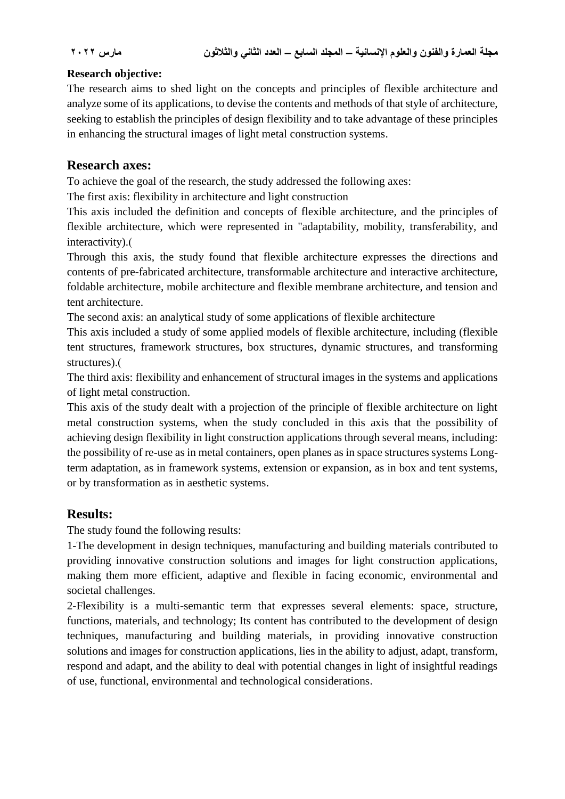#### **Research objective:**

The research aims to shed light on the concepts and principles of flexible architecture and analyze some of its applications, to devise the contents and methods of that style of architecture, seeking to establish the principles of design flexibility and to take advantage of these principles in enhancing the structural images of light metal construction systems.

#### **Research axes:**

To achieve the goal of the research, the study addressed the following axes:

The first axis: flexibility in architecture and light construction

This axis included the definition and concepts of flexible architecture, and the principles of flexible architecture, which were represented in "adaptability, mobility, transferability, and interactivity).

Through this axis, the study found that flexible architecture expresses the directions and contents of pre-fabricated architecture, transformable architecture and interactive architecture, foldable architecture, mobile architecture and flexible membrane architecture, and tension and tent architecture.

The second axis: an analytical study of some applications of flexible architecture

This axis included a study of some applied models of flexible architecture, including (flexible tent structures, framework structures, box structures, dynamic structures, and transforming structures).

The third axis: flexibility and enhancement of structural images in the systems and applications of light metal construction.

This axis of the study dealt with a projection of the principle of flexible architecture on light metal construction systems, when the study concluded in this axis that the possibility of achieving design flexibility in light construction applications through several means, including: the possibility of re-use as in metal containers, open planes as in space structures systems Longterm adaptation, as in framework systems, extension or expansion, as in box and tent systems, or by transformation as in aesthetic systems.

### **Results:**

The study found the following results:

1-The development in design techniques, manufacturing and building materials contributed to providing innovative construction solutions and images for light construction applications, making them more efficient, adaptive and flexible in facing economic, environmental and societal challenges.

2-Flexibility is a multi-semantic term that expresses several elements: space, structure, functions, materials, and technology; Its content has contributed to the development of design techniques, manufacturing and building materials, in providing innovative construction solutions and images for construction applications, lies in the ability to adjust, adapt, transform, respond and adapt, and the ability to deal with potential changes in light of insightful readings of use, functional, environmental and technological considerations.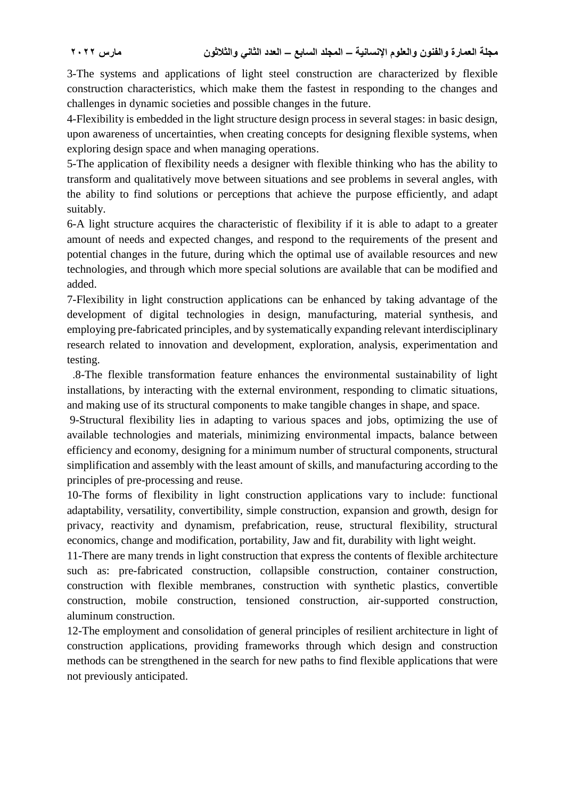3-The systems and applications of light steel construction are characterized by flexible construction characteristics, which make them the fastest in responding to the changes and challenges in dynamic societies and possible changes in the future.

4-Flexibility is embedded in the light structure design process in several stages: in basic design, upon awareness of uncertainties, when creating concepts for designing flexible systems, when exploring design space and when managing operations.

5-The application of flexibility needs a designer with flexible thinking who has the ability to transform and qualitatively move between situations and see problems in several angles, with the ability to find solutions or perceptions that achieve the purpose efficiently, and adapt suitably.

6-A light structure acquires the characteristic of flexibility if it is able to adapt to a greater amount of needs and expected changes, and respond to the requirements of the present and potential changes in the future, during which the optimal use of available resources and new technologies, and through which more special solutions are available that can be modified and added.

7-Flexibility in light construction applications can be enhanced by taking advantage of the development of digital technologies in design, manufacturing, material synthesis, and employing pre-fabricated principles, and by systematically expanding relevant interdisciplinary research related to innovation and development, exploration, analysis, experimentation and testing.

.8-The flexible transformation feature enhances the environmental sustainability of light installations, by interacting with the external environment, responding to climatic situations, and making use of its structural components to make tangible changes in shape, and space.

9-Structural flexibility lies in adapting to various spaces and jobs, optimizing the use of available technologies and materials, minimizing environmental impacts, balance between efficiency and economy, designing for a minimum number of structural components, structural simplification and assembly with the least amount of skills, and manufacturing according to the principles of pre-processing and reuse.

10-The forms of flexibility in light construction applications vary to include: functional adaptability, versatility, convertibility, simple construction, expansion and growth, design for privacy, reactivity and dynamism, prefabrication, reuse, structural flexibility, structural economics, change and modification, portability, Jaw and fit, durability with light weight.

11-There are many trends in light construction that express the contents of flexible architecture such as: pre-fabricated construction, collapsible construction, container construction, construction with flexible membranes, construction with synthetic plastics, convertible construction, mobile construction, tensioned construction, air-supported construction, aluminum construction.

12-The employment and consolidation of general principles of resilient architecture in light of construction applications, providing frameworks through which design and construction methods can be strengthened in the search for new paths to find flexible applications that were not previously anticipated.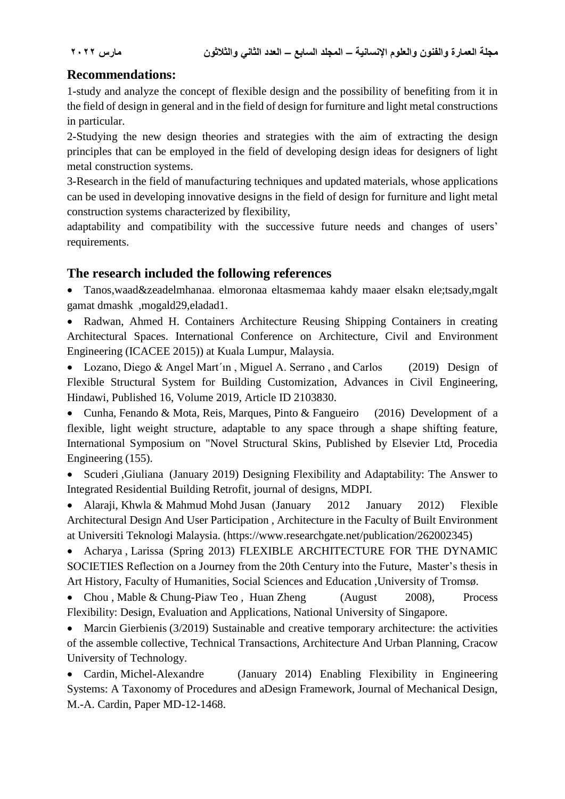## **Recommendations:**

1-study and analyze the concept of flexible design and the possibility of benefiting from it in the field of design in general and in the field of design for furniture and light metal constructions in particular.

2-Studying the new design theories and strategies with the aim of extracting the design principles that can be employed in the field of developing design ideas for designers of light metal construction systems.

3-Research in the field of manufacturing techniques and updated materials, whose applications can be used in developing innovative designs in the field of design for furniture and light metal construction systems characterized by flexibility,

adaptability and compatibility with the successive future needs and changes of users' requirements.

### **The research included the following references**

 Tanos,waad&zeadelmhanaa. elmoronaa eltasmemaa kahdy maaer elsakn ele;tsady,mgalt gamat dmashk ,mogald29,eladad1.

 Radwan, Ahmed H. Containers Architecture Reusing Shipping Containers in creating Architectural Spaces. International Conference on Architecture, Civil and Environment Engineering (ICACEE 2015)) at Kuala Lumpur, Malaysia.

• Lozano, Diego & Angel Mart'ın, Miguel A. Serrano, and Carlos (2019) Design of Flexible Structural System for Building Customization, Advances in Civil Engineering, Hindawi, Published 16, Volume 2019, Article ID 2103830.

• Cunha, Fenando & Mota, Reis, Marques, Pinto & Fangueiro (2016) Development of a flexible, light weight structure, adaptable to any space through a shape shifting feature, International Symposium on "Novel Structural Skins, Published by Elsevier Ltd, Procedia Engineering (155).

• Scuderi ,Giuliana (January 2019) Designing Flexibility and Adaptability: The Answer to Integrated Residential Building Retrofit, journal of designs, MDPI.

• Alaraji, Khwla & Mahmud Mohd Jusan (January 2012 January 2012) Flexible Architectural Design And User Participation , Architecture in the Faculty of Built Environment at Universiti Teknologi Malaysia. (https://www.researchgate.net/publication/262002345)

 Acharya , Larissa (Spring 2013) FLEXIBLE ARCHITECTURE FOR THE DYNAMIC SOCIETIES Reflection on a Journey from the 20th Century into the Future, Master's thesis in Art History, Faculty of Humanities, Social Sciences and Education ,University of Tromsø.

• Chou , Mable & Chung-Piaw Teo , Huan Zheng (August 2008), Process Flexibility: Design, Evaluation and Applications, National University of Singapore.

• Marcin Gierbienis (3/2019) Sustainable and creative temporary architecture: the activities of the assemble collective, Technical Transactions, Architecture And Urban Planning, Cracow University of Technology.

• Cardin, Michel-Alexandre (January 2014) Enabling Flexibility in Engineering Systems: A Taxonomy of Procedures and aDesign Framework, Journal of Mechanical Design, M.-A. Cardin, Paper MD-12-1468.